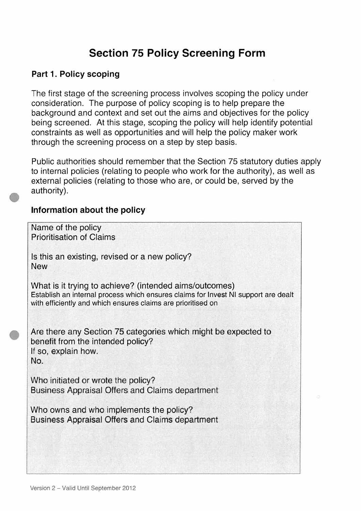# Section 75 Policy Screening Form

#### Part 1. Policy scoping

The first stage of the screening process involves scoping the policy under consideration. The purpose of policy scoping is to help prepare the background and context and set out the aims and objectives for the policy being screened. At this stage, scoping the policy will help identify potential constraints as well as opportunities and will help the policy maker work through the screening process on a step by step basis.

Public authorities should remember that the Section 75 statutory duties apply to internal policies (relating to people who work for the authority), as well as external policies (relating to those who are, or could be, served by the authority).

#### Information about the policy

| Name of the policy<br><b>Prioritisation of Claims</b>                                                                                                                                                        |
|--------------------------------------------------------------------------------------------------------------------------------------------------------------------------------------------------------------|
| Is this an existing, revised or a new policy?<br><b>New</b>                                                                                                                                                  |
| What is it trying to achieve? (intended aims/outcomes)<br>Establish an internal process which ensures claims for Invest NI support are dealt<br>with efficiently and which ensures claims are prioritised on |
| Are there any Section 75 categories which might be expected to<br>benefit from the intended policy?<br>If so, explain how.<br>No.                                                                            |
| Who initiated or wrote the policy?<br>Business Appraisal Offers and Claims department                                                                                                                        |
| Who owns and who implements the policy?<br>Business Appraisal Offers and Claims department                                                                                                                   |
|                                                                                                                                                                                                              |
|                                                                                                                                                                                                              |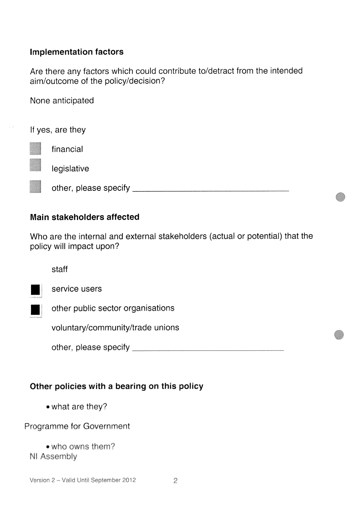## Implementation factors

Are there any factors which could contribute to/detract from the intended aim/outcome of the policy/decision?

None anticipated

If yes, are they financial legislative  $\mathcal{L}$ III other, please specify

#### Main stakeholders affected

Who are the internal and external stakeholders (actual or potential) that the policy will impact upon?

staff



service users

other public sector organisations

voluntary/community/trade unions

other, please specify

# Other policies with a bearing on this policy

• what are they?

Programme for Government

• who owns them? NI Assembly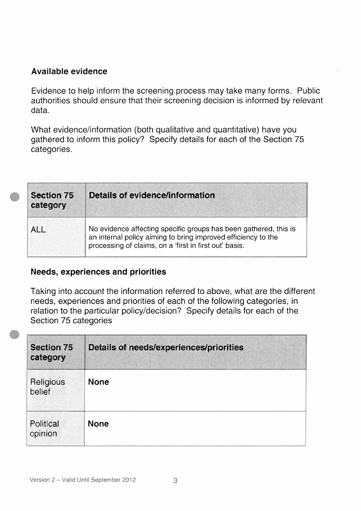### Available evidence

Evidence to help inform the screening process may take many forms. Public authorities should ensure that their screening decision is informed by relevant data.

What evidence/information (both qualitative and quantitative) have you gathered to inform this policy? Specify details for each of the Section 75 categories.

| <b>Section 75</b><br>category | <b>Details of evidence/information</b>                                                                                                                                                      |
|-------------------------------|---------------------------------------------------------------------------------------------------------------------------------------------------------------------------------------------|
| <b>ALL</b>                    | No evidence affecting specific groups has been gathered, this is<br>an internal policy aiming to bring improved efficiency to the<br>processing of claims, on a 'first in first out' basis. |

#### Needs, experiences and priorities

Taking into account the information referred to above, what are the different needs, experiences and priorities of each of the following categories, in relation to the particular policy/decision? Specify details for each of the Section 75 categories

| <b>Section 75</b><br>category | Details of needs/experiences/priorities |  |
|-------------------------------|-----------------------------------------|--|
| Religious<br>belief           | <b>None</b>                             |  |
| Political<br>opinion          | <b>None</b>                             |  |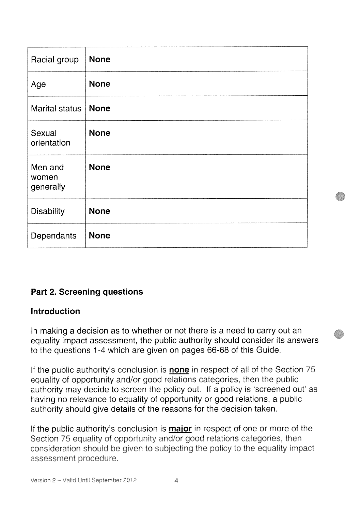| Racial group                  | <b>None</b> |
|-------------------------------|-------------|
| Age                           | <b>None</b> |
| <b>Marital status</b>         | <b>None</b> |
| Sexual<br>orientation         | <b>None</b> |
| Men and<br>women<br>generally | <b>None</b> |
| <b>Disability</b>             | <b>None</b> |
| Dependants                    | <b>None</b> |

# Part 2. Screening questions

#### Introduction

In making a decision as to whether or not there is a need to carry out an equality impact assessment, the public authority should consider its answers to the questions <sup>1</sup> -4 which are given on pages 66-68 of this Guide

If the public authority's conclusion is none in respect of all of the Section 75 equality of opportunity and/or good relations categories, then the public authority may decide to screen the policy out. If a policy is 'screened out' as having no relevance to equality of opportunity or good relations, a public authority should give details of the reasons for the decision taken.

If the public authority's conclusion is **major** in respect of one or more of the Section 75 equality of opportunity and/or good relations categories, then consideration should be given to subjecting the policy to the equality impact assessment procedure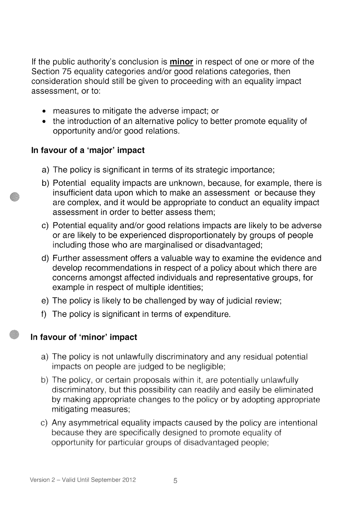If the public authority's conclusion is **minor** in respect of one or more of the Section 75 equality categories and/or good relations categories, then consideration should still be given to proceeding with an equality impact assessment, or to:

- measures to mitigate the adverse impact; or
- the introduction of an alternative policy to better promote equality of opportunity and/or good relations.

# In favour of a 'major' Impact

- a) The policy is significant in terms of its strategic importance;
- b) Potential equality impacts are unknown, because, for example, there is insufficient data upon which to make an assessment or because they are complex, and it would be appropriate to conduct an equality impact assessment in order to better assess them;
- c) Potential equality and/or good relations impacts are likely to be adverse or are likely to be experienced disproportionately by groups of people including those who are marginalised or disadvantaged;
- d) Further assessment offers a valuable way to examine the evidence and develop recommendations in respect of a policy about which there are concerns amongst affected individuals and representative groups, for example in respect of multiple identities;
- e) The policy is likely to be challenged by way of judicial review;
- f) The policy is significant in terms of expenditure.

# In favour of 'minor' impact

- a) The policy is not unlawfully discriminatory and any residual potential impacts on people are judged to be negligible;
- b) The policy, or certain proposals within it, are potentially unlawfully discriminatory, but this possibility can readily and easily be eliminated by making appropriate changes to the policy or by adopting appropriate mitigating measures;
- c) Any asymmetrical equality impacts caused by the policy are intentional because they are specifically designed to promote equality of opportunity for particular groups of disadvantaged people;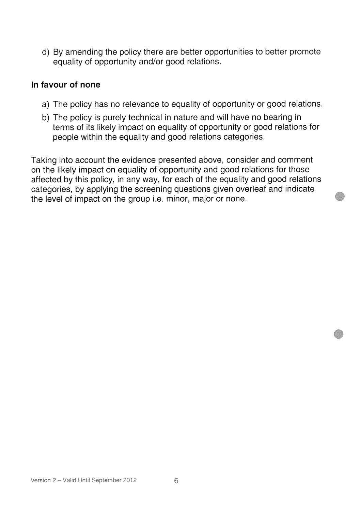d) By amending the policy there are better opportunities to better promote equality of opportunity and/or good relations.

#### In favour of none

- a) The policy has no relevance to equality of opportunity or good relations.
- b) The policy is purely technical in nature and will have no bearing in terms of its likely impact on equality of opportunity or good relations for people within the equality and good relations categories.

Taking into account the evidence presented above, consider and comment on the likely impact on equality of opportunity and good relations for those affected by this policy, in any way, for each of the equality and good relations categories, by applying the screening questions given overleaf and indicate the level of impact on the group i.e. minor, major or none.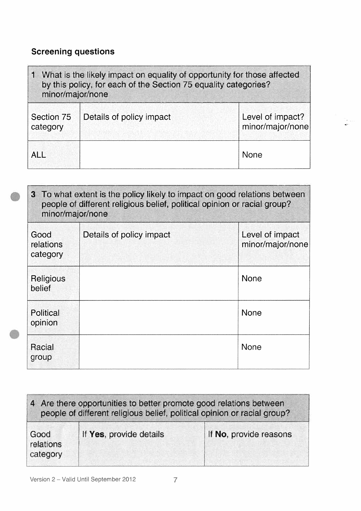# Screening questions

| 1 What is the likely impact on equality of opportunity for those affected<br>by this policy, for each of the Section 75 equality categories?<br>minor/major/none |                          |                                      |
|------------------------------------------------------------------------------------------------------------------------------------------------------------------|--------------------------|--------------------------------------|
| Section 75<br>category                                                                                                                                           | Details of policy impact | Level of impact?<br>minor/major/none |
| <b>ALL</b>                                                                                                                                                       |                          | <b>None</b>                          |

 $\frac{1}{\sqrt{2}}\frac{1}{\sqrt{2}}\left( \frac{1}{2}\right)$ 

| 3 To what extent is the policy likely to impact on good relations between<br>people of different religious belief, political opinion or racial group?<br>minor/major/none |                          |                                     |
|---------------------------------------------------------------------------------------------------------------------------------------------------------------------------|--------------------------|-------------------------------------|
| Good<br>relations<br>category                                                                                                                                             | Details of policy impact | Level of impact<br>minor/major/none |
| Religious<br>belief                                                                                                                                                       |                          | <b>None</b>                         |
| Political<br>opinion                                                                                                                                                      |                          | <b>None</b>                         |
| Racial<br>group                                                                                                                                                           |                          | <b>None</b>                         |

| 4 Are there opportunities to better promote good relations between<br>people of different religious belief, political opinion or racial group? |                         |                        |  |
|------------------------------------------------------------------------------------------------------------------------------------------------|-------------------------|------------------------|--|
| Good<br>relations<br>category                                                                                                                  | If Yes, provide details | If No, provide reasons |  |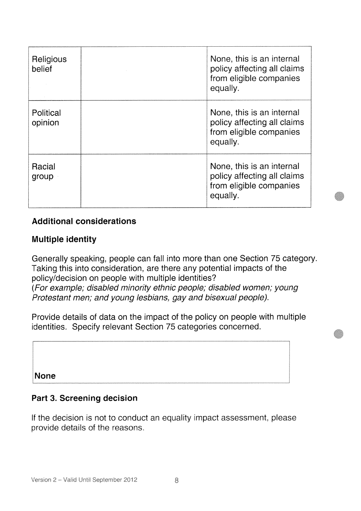| Religious<br>belief  | None, this is an internal<br>policy affecting all claims<br>from eligible companies<br>equally. |
|----------------------|-------------------------------------------------------------------------------------------------|
| Political<br>opinion | None, this is an internal<br>policy affecting all claims<br>from eligible companies<br>equally. |
| Racial<br>group      | None, this is an internal<br>policy affecting all claims<br>from eligible companies<br>equally. |

## Additional considerations

#### Multiple identity

Generally speaking, people can fall into more than one Section 75 category. Taking this into consideration, are there any potential impacts of the policy/decision on people with multiple identities? (For example; disabled minority ethnic people; disabled women; young Protestant men; and young lesbians, gay and bisexual people).

Provide details of data on the impact of the policy on people with multiple identities. Specify relevant Section 75 categories concerned.

None

#### Part 3. Screening decision

If the decision is not to conduct an equality impact assessment, please provide details of the reasons.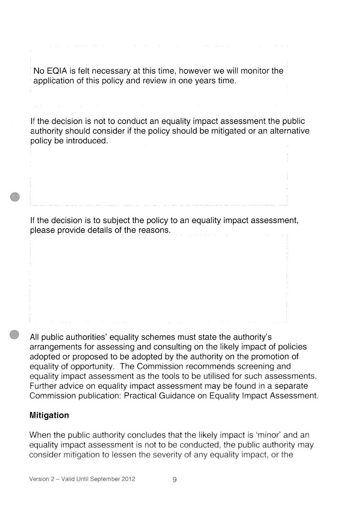No EQIA is felt necessary at this time, however we will monitor the application of this policy and review in one years time.

If the decision is not to conduct an equality impact assessment the public authority should consider if the policy should be mitigated or an alternative policy be introduced.

If the decision is to subject the policy to an equality impact assessment, please provide details of the reasons.

All public authorities' equality schemes must state the authority's arrangements for assessing and consulting on the likely impact of policies adopted or proposed to be adopted by the authority on the promotion of equality of opportunity. The Commission recommends screening and equality impact assessment as the tools to be utilised for such assessments Further advice on equality impact assessment may be found in a separate Commission publication: Practical Guidance on Equality Impact Assessment.

# Mitigation

When the public authority concludes that the likely impact is 'minor' and an equality impact assessment is not to be conducted, the public authority may consider mitigation to lessen the severity of any equality impact, or the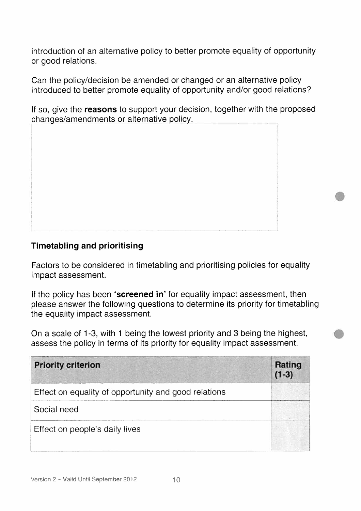introduction of an alternative policy to better promote equality of opportunity or good relations.

Can the policy/decision be amended or changed or an alternative policy introduced to better promote equality of opportunity and/or good relations?

If so, give the reasons to support your decision, together with the proposed changes/amendments or alternative policy.

# Timetabling and prioritising

Factors to be considered in timetabling and prioritising policies for equality impact assessment.

If the policy has been 'screened in' for equality impact assessment, then please answer the following questions to determine its priority for timetabling the equality impact assessment.

On a scale of <sup>1</sup> -3, with <sup>1</sup> being the lowest priority and 3 being the highest, assess the policy in terms of its priority for equality impact assessment.

| <b>Priority criterion</b>                            | Rating<br>$(1-3)$ |
|------------------------------------------------------|-------------------|
| Effect on equality of opportunity and good relations |                   |
| Social need                                          |                   |
| Effect on people's daily lives                       |                   |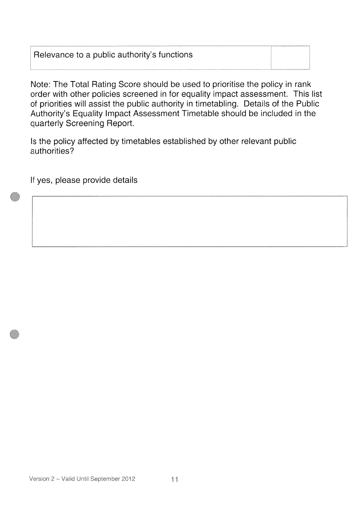## Relevance to a public authority's functions

Note: The Total Rating Score should be used to prioritise the policy in rank order with other policies screened in for equality impact assessment. This list of priorities will assist the public authority in timetabling. Details of the Public Authority's Equality Impact Assessment Timetable should be included in the quarterly Screening Report.

Is the policy affected by timetables established by other relevant public authorities?

If yes, please provide details